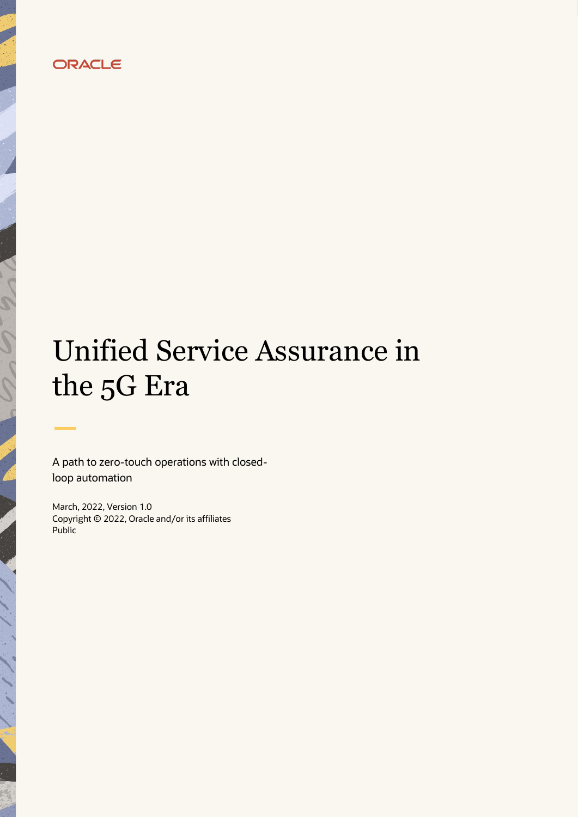# ORACLE

# Unified Service Assurance in the 5G Era

A path to zero-touch operations with closedloop automation

March, 2022, Version 1.0 Copyright © 2022, Oracle and/or its affiliates Public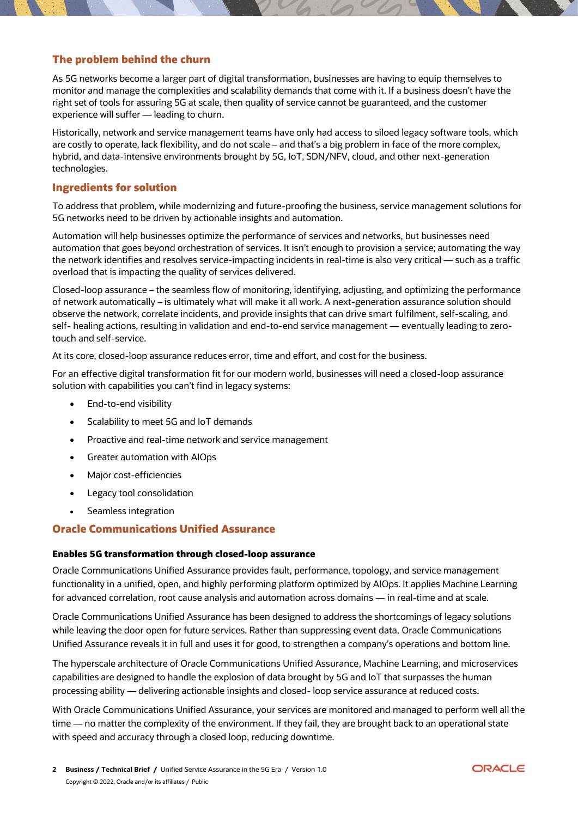#### **The problem behind the churn**

As 5G networks become a larger part of digital transformation, businesses are having to equip themselves to monitor and manage the complexities and scalability demands that come with it. If a business doesn't have the right set of tools for assuring 5G at scale, then quality of service cannot be guaranteed, and the customer experience will suffer — leading to churn.

Historically, network and service management teams have only had access to siloed legacy software tools, which are costly to operate, lack flexibility, and do not scale – and that's a big problem in face of the more complex, hybrid, and data-intensive environments brought by 5G, IoT, SDN/NFV, cloud, and other next-generation technologies.

#### **Ingredients for solution**

To address that problem, while modernizing and future-proofing the business, service management solutions for 5G networks need to be driven by actionable insights and automation.

Automation will help businesses optimize the performance of services and networks, but businesses need automation that goes beyond orchestration of services. It isn't enough to provision a service; automating the way the network identifies and resolves service-impacting incidents in real-time is also very critical — such as a traffic overload that is impacting the quality of services delivered.

Closed-loop assurance – the seamless flow of monitoring, identifying, adjusting, and optimizing the performance of network automatically – is ultimately what will make it all work. A next-generation assurance solution should observe the network, correlate incidents, and provide insights that can drive smart fulfilment, self-scaling, and self- healing actions, resulting in validation and end-to-end service management — eventually leading to zerotouch and self-service.

At its core, closed-loop assurance reduces error, time and effort, and cost for the business.

For an effective digital transformation fit for our modern world, businesses will need a closed-loop assurance solution with capabilities you can't find in legacy systems:

- End-to-end visibility
- Scalability to meet 5G and IoT demands
- Proactive and real-time network and service management
- Greater automation with AIOps
- Major cost-efficiencies
- Legacy tool consolidation
- Seamless integration

#### **Oracle Communications Unified Assurance**

#### **Enables 5G transformation through closed-loop assurance**

Oracle Communications Unified Assurance provides fault, performance, topology, and service management functionality in a unified, open, and highly performing platform optimized by AIOps. It applies Machine Learning for advanced correlation, root cause analysis and automation across domains — in real-time and at scale.

Oracle Communications Unified Assurance has been designed to address the shortcomings of legacy solutions while leaving the door open for future services. Rather than suppressing event data, Oracle Communications Unified Assurance reveals it in full and uses it for good, to strengthen a company's operations and bottom line.

The hyperscale architecture of Oracle Communications Unified Assurance, Machine Learning, and microservices capabilities are designed to handle the explosion of data brought by 5G and IoT that surpasses the human processing ability — delivering actionable insights and closed- loop service assurance at reduced costs.

With Oracle Communications Unified Assurance, your services are monitored and managed to perform well all the time — no matter the complexity of the environment. If they fail, they are brought back to an operational state with speed and accuracy through a closed loop, reducing downtime.

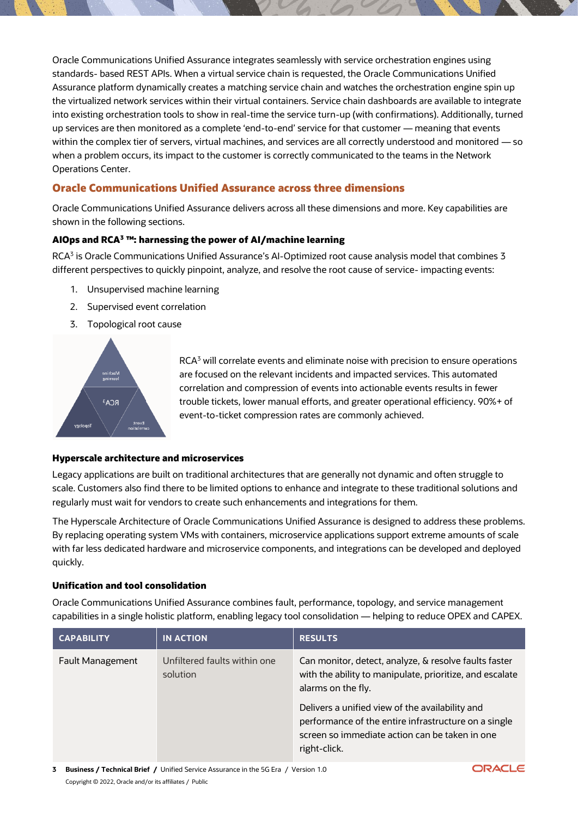Oracle Communications Unified Assurance integrates seamlessly with service orchestration engines using standards- based REST APIs. When a virtual service chain is requested, the Oracle Communications Unified Assurance platform dynamically creates a matching service chain and watches the orchestration engine spin up the virtualized network services within their virtual containers. Service chain dashboards are available to integrate into existing orchestration tools to show in real-time the service turn-up (with confirmations). Additionally, turned up services are then monitored as a complete 'end-to-end' service for that customer — meaning that events within the complex tier of servers, virtual machines, and services are all correctly understood and monitored — so when a problem occurs, its impact to the customer is correctly communicated to the teams in the Network Operations Center.

### **Oracle Communications Unified Assurance across three dimensions**

Oracle Communications Unified Assurance delivers across all these dimensions and more. Key capabilities are shown in the following sections.

#### **AIOps and RCA<sup>3</sup> ™: harnessing the power of AI/machine learning**

RCA<sup>3</sup> is Oracle Communications Unified Assurance's Al-Optimized root cause analysis model that combines 3 different perspectives to quickly pinpoint, analyze, and resolve the root cause of service- impacting events:

- 1. Unsupervised machine learning
- 2. Supervised event correlation
- 3. Topological root cause



RCA<sup>3</sup> will correlate events and eliminate noise with precision to ensure operations are focused on the relevant incidents and impacted services. This automated correlation and compression of events into actionable events results in fewer trouble tickets, lower manual efforts, and greater operational efficiency. 90%+ of event-to-ticket compression rates are commonly achieved.

#### **Hyperscale architecture and microservices**

Legacy applications are built on traditional architectures that are generally not dynamic and often struggle to scale. Customers also find there to be limited options to enhance and integrate to these traditional solutions and regularly must wait for vendors to create such enhancements and integrations for them.

The Hyperscale Architecture of Oracle Communications Unified Assurance is designed to address these problems. By replacing operating system VMs with containers, microservice applications support extreme amounts of scale with far less dedicated hardware and microservice components, and integrations can be developed and deployed quickly.

#### **Unification and tool consolidation**

Oracle Communications Unified Assurance combines fault, performance, topology, and service management capabilities in a single holistic platform, enabling legacy tool consolidation — helping to reduce OPEX and CAPEX.

| <b>CAPABILITY</b> | <b>IN ACTION</b>                         | <b>RESULTS</b>                                                                                                                                                            |
|-------------------|------------------------------------------|---------------------------------------------------------------------------------------------------------------------------------------------------------------------------|
| Fault Management  | Unfiltered faults within one<br>solution | Can monitor, detect, analyze, & resolve faults faster<br>with the ability to manipulate, prioritize, and escalate<br>alarms on the fly.                                   |
|                   |                                          | Delivers a unified view of the availability and<br>performance of the entire infrastructure on a single<br>screen so immediate action can be taken in one<br>right-click. |

**3 Business / Technical Brief /** Unified Service Assurance in the 5G Era / Version 1.0 Copyright © 2022, Oracle and/or its affiliates / Public

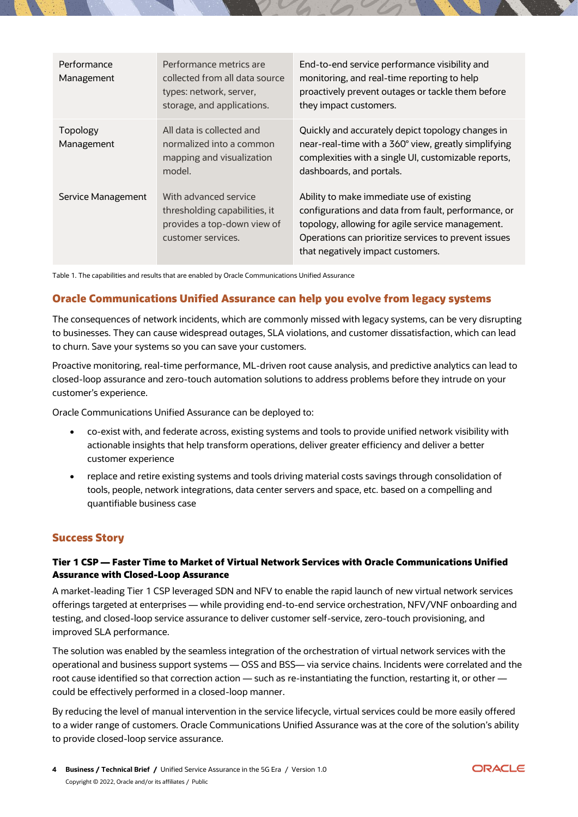| Performance<br>Management | Performance metrics are<br>collected from all data source<br>types: network, server,<br>storage, and applications. | End-to-end service performance visibility and<br>monitoring, and real-time reporting to help<br>proactively prevent outages or tackle them before<br>they impact customers.                                                                       |
|---------------------------|--------------------------------------------------------------------------------------------------------------------|---------------------------------------------------------------------------------------------------------------------------------------------------------------------------------------------------------------------------------------------------|
| Topology<br>Management    | All data is collected and<br>normalized into a common<br>mapping and visualization<br>model.                       | Quickly and accurately depict topology changes in<br>near-real-time with a 360° view, greatly simplifying<br>complexities with a single UI, customizable reports,<br>dashboards, and portals.                                                     |
| Service Management        | With advanced service<br>thresholding capabilities, it<br>provides a top-down view of<br>customer services.        | Ability to make immediate use of existing<br>configurations and data from fault, performance, or<br>topology, allowing for agile service management.<br>Operations can prioritize services to prevent issues<br>that negatively impact customers. |

Table 1. The capabilities and results that are enabled by Oracle Communications Unified Assurance

## **Oracle Communications Unified Assurance can help you evolve from legacy systems**

The consequences of network incidents, which are commonly missed with legacy systems, can be very disrupting to businesses. They can cause widespread outages, SLA violations, and customer dissatisfaction, which can lead to churn. Save your systems so you can save your customers.

Proactive monitoring, real-time performance, ML-driven root cause analysis, and predictive analytics can lead to closed-loop assurance and zero-touch automation solutions to address problems before they intrude on your customer's experience.

Oracle Communications Unified Assurance can be deployed to:

- co-exist with, and federate across, existing systems and tools to provide unified network visibility with actionable insights that help transform operations, deliver greater efficiency and deliver a better customer experience
- replace and retire existing systems and tools driving material costs savings through consolidation of tools, people, network integrations, data center servers and space, etc. based on a compelling and quantifiable business case

#### **Success Story**

#### **Tier 1 CSP — Faster Time to Market of Virtual Network Services with Oracle Communications Unified Assurance with Closed-Loop Assurance**

A market-leading Tier 1 CSP leveraged SDN and NFV to enable the rapid launch of new virtual network services offerings targeted at enterprises — while providing end-to-end service orchestration, NFV/VNF onboarding and testing, and closed-loop service assurance to deliver customer self-service, zero-touch provisioning, and improved SLA performance.

The solution was enabled by the seamless integration of the orchestration of virtual network services with the operational and business support systems — OSS and BSS— via service chains. Incidents were correlated and the root cause identified so that correction action — such as re-instantiating the function, restarting it, or other could be effectively performed in a closed-loop manner.

By reducing the level of manual intervention in the service lifecycle, virtual services could be more easily offered to a wider range of customers. Oracle Communications Unified Assurance was at the core of the solution's ability to provide closed-loop service assurance.